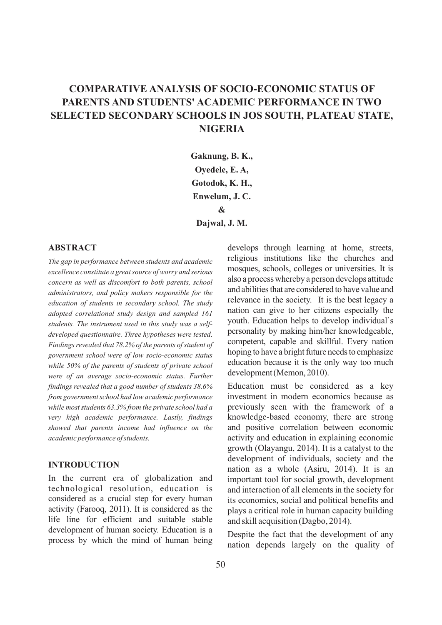# **COMPARATIVE ANALYSIS OF SOCIO-ECONOMIC STATUS OF PARENTS AND STUDENTS' ACADEMIC PERFORMANCE IN TWO SELECTED SECONDARY SCHOOLS IN JOS SOUTH, PLATEAU STATE, NIGERIA**

**Gaknung, B. K., Oyedele, E. A, Gotodok, K. H., Enwelum, J. C. & Dajwal, J. M.** 

# **ABSTRACT**

*The gap in performance between students and academic excellence constitute a great source of worry and serious concern as well as discomfort to both parents, school administrators, and policy makers responsible for the education of students in secondary school. The study adopted correlational study design and sampled 161 students. The instrument used in this study was a selfdeveloped questionnaire. Three hypotheses were tested*. *Findings revealed that 78.2% of the parents of student of government school were of low socio-economic status while 50% of the parents of students of private school were of an average socio-economic status. Further findings revealed that a good number of students 38.6% from government school had low academic performance while most students 63.3% from the private school had a very high academic performance. Lastly, findings showed that parents income had influence on the academic performance of students.* 

# **INTRODUCTION**

In the current era of globalization and technological resolution, education is considered as a crucial step for every human activity (Farooq, 2011). It is considered as the life line for efficient and suitable stable development of human society. Education is a process by which the mind of human being develops through learning at home, streets, religious institutions like the churches and mosques, schools, colleges or universities. It is also a processwhereby a person develops attitude and abilities that are considered to have value and relevance in the society. It is the best legacy a nation can give to her citizens especially the youth. Education helps to develop individual`s personality by making him/her knowledgeable, competent, capable and skillful. Every nation hoping to have a bright future needs to emphasize education because it is the only way too much development(Memon,2010).

Education must be considered as a key investment in modern economics because as previously seen with the framework of a knowledge-based economy, there are strong and positive correlation between economic activity and education in explaining economic growth (Olayangu, 2014). It is a catalyst to the development of individuals, society and the nation as a whole (Asiru, 2014). It is an important tool for social growth, development and interaction of all elements in the society for its economics, social and political benefits and plays a critical role in human capacity building and skill acquisition (Dagbo, 2014).

Despite the fact that the development of any nation depends largely on the quality of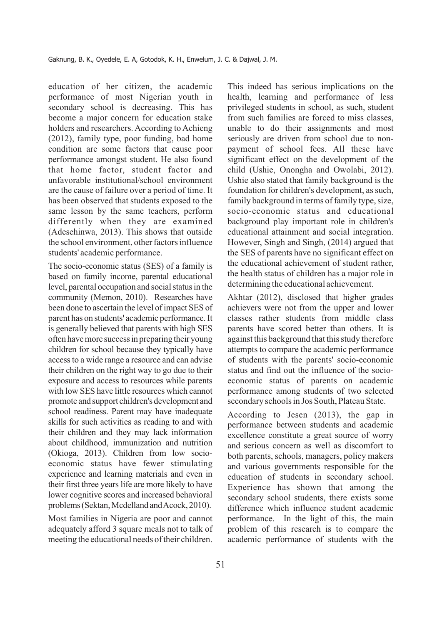education of her citizen, the academic performance of most Nigerian youth in secondary school is decreasing. This has become a major concern for education stake holders and researchers. According to Achieng (2012), family type, poor funding, bad home condition are some factors that cause poor performance amongst student. He also found that home factor, student factor and unfavorable institutional/school environment are the cause of failure over a period of time. It has been observed that students exposed to the same lesson by the same teachers, perform differently when they are examined (Adesehinwa, 2013). This shows that outside the school environment, other factors influence students' academic performance.

The socio-economic status (SES) of a family is based on family income, parental educational level, parental occupation and social status in the community (Memon, 2010). Researches have been done to ascertain the level of impact SES of parent has on students' academic performance.It is generally believed that parents with high SES often havemore successin preparing their young children for school because they typically have accessto a wide range a resource and can advise their children on the right way to go due to their exposure and access to resources while parents with low SES have little resources which cannot promote and support children's development and school readiness. Parent may have inadequate skills for such activities as reading to and with their children and they may lack information about childhood, immunization and nutrition (Okioga, 2013). Children from low socioeconomic status have fewer stimulating experience and learning materials and even in their first three years life are more likely to have lower cognitive scores and increased behavioral problems (Sektan, Mcdelland and Acock, 2010).

Most families in Nigeria are poor and cannot adequately afford 3 square meals not to talk of meeting the educational needs of their children. This indeed has serious implications on the health, learning and performance of less privileged students in school, as such, student from such families are forced to miss classes, unable to do their assignments and most seriously are driven from school due to nonpayment of school fees. All these have significant effect on the development of the child (Ushie, Onongha and Owolabi, 2012). Ushie also stated that family background is the foundation for children's development, as such, family background in terms of family type, size, socio-economic status and educational background play important role in children's educational attainment and social integration. However, Singh and Singh, (2014) argued that the SES of parents have no significant effect on the educational achievement of student rather, the health status of children has a major role in determining the educational achievement.

Akhtar (2012), disclosed that higher grades achievers were not from the upper and lower classes rather students from middle class parents have scored better than others. It is against this background that this study therefore attempts to compare the academic performance of students with the parents' socio-economic status and find out the influence of the socioeconomic status of parents on academic performance among students of two selected secondary schools in Jos South, Plateau State.

According to Jesen (2013), the gap in performance between students and academic excellence constitute a great source of worry and serious concern as well as discomfort to both parents, schools, managers, policy makers and various governments responsible for the education of students in secondary school. Experience has shown that among the secondary school students, there exists some difference which influence student academic performance. In the light of this, the main problem of this research is to compare the academic performance of students with the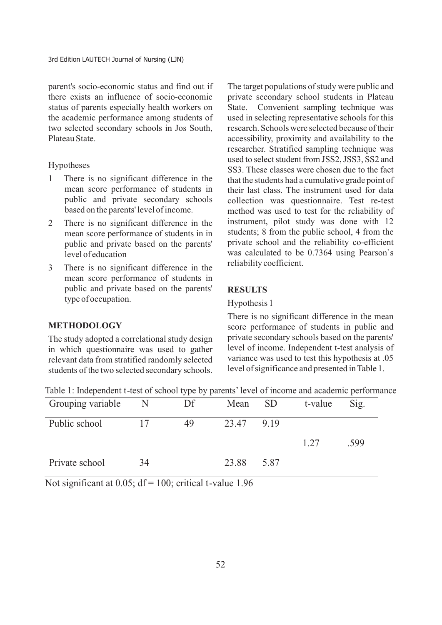parent's socio-economic status and find out if there exists an influence of socio-economic status of parents especially health workers on the academic performance among students of two selected secondary schools in Jos South, Plateau State.

#### Hypotheses

- 1 There is no significant difference in the mean score performance of students in public and private secondary schools based on the parents' level of income.
- 2 There is no significant difference in the mean score performance of students in in public and private based on the parents' level of education
- 3 There is no significant difference in the mean score performance of students in public and private based on the parents' type of occupation.

The target populations of study were public and private secondary school students in Plateau State. Convenient sampling technique was used in selecting representative schools for this research. Schools were selected because of their accessibility, proximity and availability to the researcher. Stratified sampling technique was used to select student from JSS2, JSS3, SS2 and SS3. These classes were chosen due to the fact that the students had a cumulative grade point of their last class. The instrument used for data collection was questionnaire. Test re-test method was used to test for the reliability of instrument, pilot study was done with 12 students; 8 from the public school, 4 from the private school and the reliability co-efficient was calculated to be 0.7364 using Pearson`s reliability coefficient.

# **RESULTS**

#### Hypothesis 1

### **METHODOLOGY**

The study adopted a correlational study design in which questionnaire was used to gather relevant data from stratified randomly selected students of the two selected secondary schools.

There is no significant difference in the mean score performance of students in public and private secondary schools based on the parents' level of income. Independent t-test analysis of variance was used to test this hypothesis at .05 level of significance and presented in Table 1.

| Table 1: Independent t-test of school type by parents' level of income and academic performance |  |  |
|-------------------------------------------------------------------------------------------------|--|--|
|                                                                                                 |  |  |

| Grouping variable | $\mathbb N$ | Df | Mean  | <b>SD</b> | t-value | Sig. |
|-------------------|-------------|----|-------|-----------|---------|------|
| Public school     | 17          | 49 | 23.47 | 9.19      |         |      |
|                   |             |    |       |           | 1.27    | .599 |
| Private school    | 34          |    | 23.88 | 5.87      |         |      |

Not significant at  $0.05$ ; df = 100; critical t-value 1.96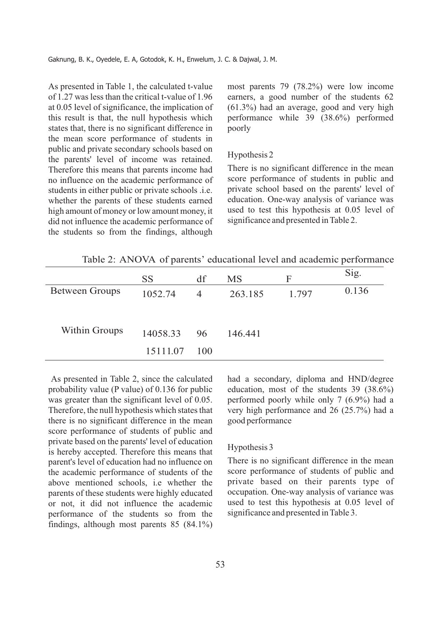As presented in Table 1, the calculated t-value of 1.27 was less than the critical t-value of 1.96 at 0.05 level of significance, the implication of this result is that, the null hypothesis which states that, there is no significant difference in the mean score performance of students in public and private secondary schools based on the parents' level of income was retained. Therefore this means that parents income had no influence on the academic performance of students in either public or private schools .i.e. whether the parents of these students earned high amount of money or low amount money, it did not influence the academic performance of the students so from the findings, although most parents 79 (78.2%) were low income earners, a good number of the students 62 (61.3%) had an average, good and very high performance while 39 (38.6%) performed poorly

## Hypothesis 2

There is no significant difference in the mean score performance of students in public and private school based on the parents' level of education. One-way analysis of variance was used to test this hypothesis at 0.05 level of significance and presented in Table 2.

Table 2: ANOVA of parents' educational level and academic performance

|                       | <b>SS</b> | df             | <b>MS</b> | F     | Sig.  |
|-----------------------|-----------|----------------|-----------|-------|-------|
| <b>Between Groups</b> | 1052.74   | $\overline{4}$ | 263.185   | 1.797 | 0.136 |
|                       |           |                |           |       |       |
|                       |           |                |           |       |       |
| Within Groups         | 14058.33  | 96             | 146.441   |       |       |
|                       | 15111.07  | 100            |           |       |       |

As presented in Table 2, since the calculated probability value (P value) of 0.136 for public was greater than the significant level of 0.05. Therefore, the null hypothesis which states that there is no significant difference in the mean score performance of students of public and private based on the parents' level of education is hereby accepted. Therefore this means that parent's level of education had no influence on the academic performance of students of the above mentioned schools, i.e whether the parents of these students were highly educated or not, it did not influence the academic performance of the students so from the findings, although most parents 85 (84.1%)

had a secondary, diploma and HND/degree education, most of the students 39 (38.6%) performed poorly while only 7 (6.9%) had a very high performance and 26 (25.7%) had a good performance

#### Hypothesis 3

There is no significant difference in the mean score performance of students of public and private based on their parents type of occupation. One-way analysis of variance was used to test this hypothesis at 0.05 level of significance and presented in Table 3.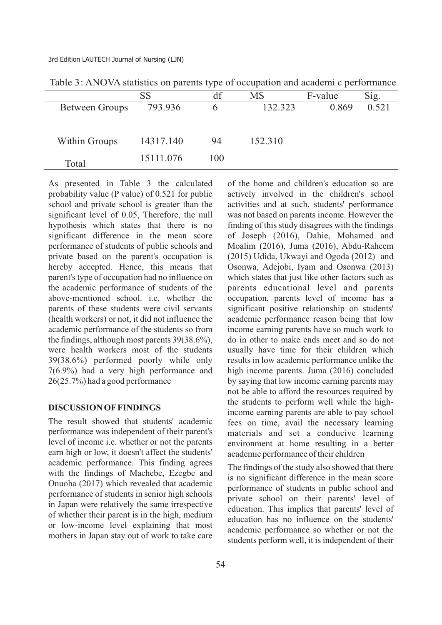3rd Edition LAUTECH Journal of Nursing (LJN)

|                       | SS        | df  | <b>MS</b> | F-value | Sig.  |  |
|-----------------------|-----------|-----|-----------|---------|-------|--|
| <b>Between Groups</b> | 793.936   | n   | 132.323   | 0.869   | 0.521 |  |
|                       |           |     |           |         |       |  |
|                       |           |     |           |         |       |  |
| <b>Within Groups</b>  | 14317.140 | 94  | 152.310   |         |       |  |
|                       |           |     |           |         |       |  |
|                       | 15111.076 | 100 |           |         |       |  |
| Total                 |           |     |           |         |       |  |

Table 3: ANOVA statistics on parents type of occupation and academi c performance

As presented in Table 3 the calculated probability value (P value) of 0.521 for public school and private school is greater than the significant level of 0.05, Therefore, the null hypothesis which states that there is no significant difference in the mean score performance of students of public schools and private based on the parent's occupation is hereby accepted. Hence, this means that parent's type of occupation had no influence on the academic performance of students of the above-mentioned school. i.e. whether the parents of these students were civil servants (health workers) or not, it did not influence the academic performance of the students so from the findings, although most parents 39(38.6%), were health workers most of the students 39(38.6%) performed poorly while only 7(6.9%) had a very high performance and 26(25.7%) had a good performance

## **DISCUSSION OFFINDINGS**

The result showed that students' academic performance was independent of their parent's level of income i.e. whether or not the parents earn high or low, it doesn't affect the students' academic performance. This finding agrees with the findings of Machebe, Ezegbe and Onuoha (2017) which revealed that academic performance of students in senior high schools in Japan were relatively the same irrespective of whether their parent is in the high, medium or low-income level explaining that most mothers in Japan stay out of work to take care of the home and children's education so are actively involved in the children's school activities and at such, students' performance was not based on parents income. However the finding of this study disagrees with the findings of Joseph (2016), Dahie, Mohamed and Moalim (2016), Juma (2016), Abdu-Raheem (2015) Udida, Ukwayi and Ogoda (2012) and Osonwa, Adejobi, Iyam and Osonwa (2013) which states that just like other factors such as parents educational level and parents occupation, parents level of income has a significant positive relationship on students' academic performance reason being that low income earning parents have so much work to do in other to make ends meet and so do not usually have time for their children which results in low academic performance unlike the high income parents. Juma (2016) concluded by saying that low income earning parents may not be able to afford the resources required by the students to perform well while the highincome earning parents are able to pay school fees on time, avail the necessary learning materials and set a conducive learning environment at home resulting in a better academic performance of their children

The findings of the study also showed that there is no significant difference in the mean score performance of students in public school and private school on their parents' level of education. This implies that parents' level of education has no influence on the students' academic performance so whether or not the students perform well, it is independent of their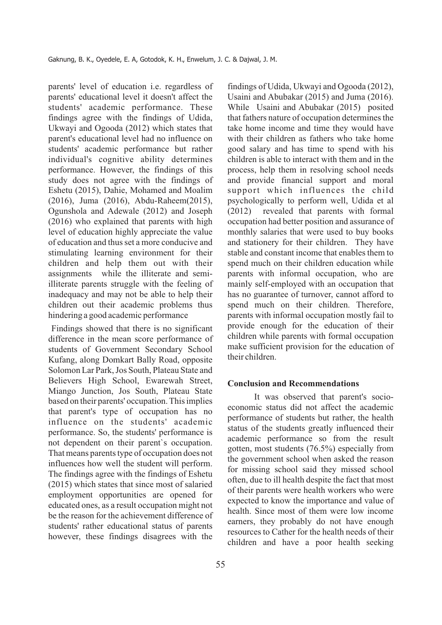parents' level of education i.e. regardless of parents' educational level it doesn't affect the students' academic performance. These findings agree with the findings of Udida, Ukwayi and Ogooda (2012) which states that parent's educational level had no influence on students' academic performance but rather individual's cognitive ability determines performance. However, the findings of this study does not agree with the findings of Eshetu (2015), Dahie, Mohamed and Moalim (2016), Juma (2016), Abdu-Raheem(2015), Ogunshola and Adewale (2012) and Joseph (2016) who explained that parents with high level of education highly appreciate the value of education and thus set a more conducive and stimulating learning environment for their children and help them out with their assignments while the illiterate and semiilliterate parents struggle with the feeling of inadequacy and may not be able to help their children out their academic problems thus hindering a good academic performance

Findings showed that there is no significant difference in the mean score performance of students of Government Secondary School Kufang, along Domkart Bally Road, opposite Solomon Lar Park, Jos South, Plateau State and Believers High School, Ewarewah Street, Miango Junction, Jos South, Plateau State based on their parents' occupation. This implies that parent's type of occupation has no influence on the students' academic performance. So, the students' performance is not dependent on their parent`s occupation. That means parents type of occupation does not influences how well the student will perform. The findings agree with the findings of Eshetu (2015) which states that since most of salaried employment opportunities are opened for educated ones, as a result occupation might not be the reason for the achievement difference of students' rather educational status of parents however, these findings disagrees with the

findings of Udida, Ukwayi and Ogooda (2012), Usaini and Abubakar (2015) and Juma (2016). While Usaini and Abubakar (2015) posited that fathers nature of occupation determines the take home income and time they would have with their children as fathers who take home good salary and has time to spend with his children is able to interact with them and in the process, help them in resolving school needs and provide financial support and moral support which influences the child psychologically to perform well, Udida et al (2012) revealed that parents with formal occupation had better position and assurance of monthly salaries that were used to buy books and stationery for their children. They have stable and constant income that enables them to spend much on their children education while parents with informal occupation, who are mainly self-employed with an occupation that has no guarantee of turnover, cannot afford to spend much on their children. Therefore, parents with informal occupation mostly fail to provide enough for the education of their children while parents with formal occupation make sufficient provision for the education of their children.

#### **Conclusion and Recommendations**

It was observed that parent's socioeconomic status did not affect the academic performance of students but rather, the health status of the students greatly influenced their academic performance so from the result gotten, most students (76.5%) especially from the government school when asked the reason for missing school said they missed school often, due to ill health despite the fact that most of their parents were health workers who were expected to know the importance and value of health. Since most of them were low income earners, they probably do not have enough resources to Cather for the health needs of their children and have a poor health seeking